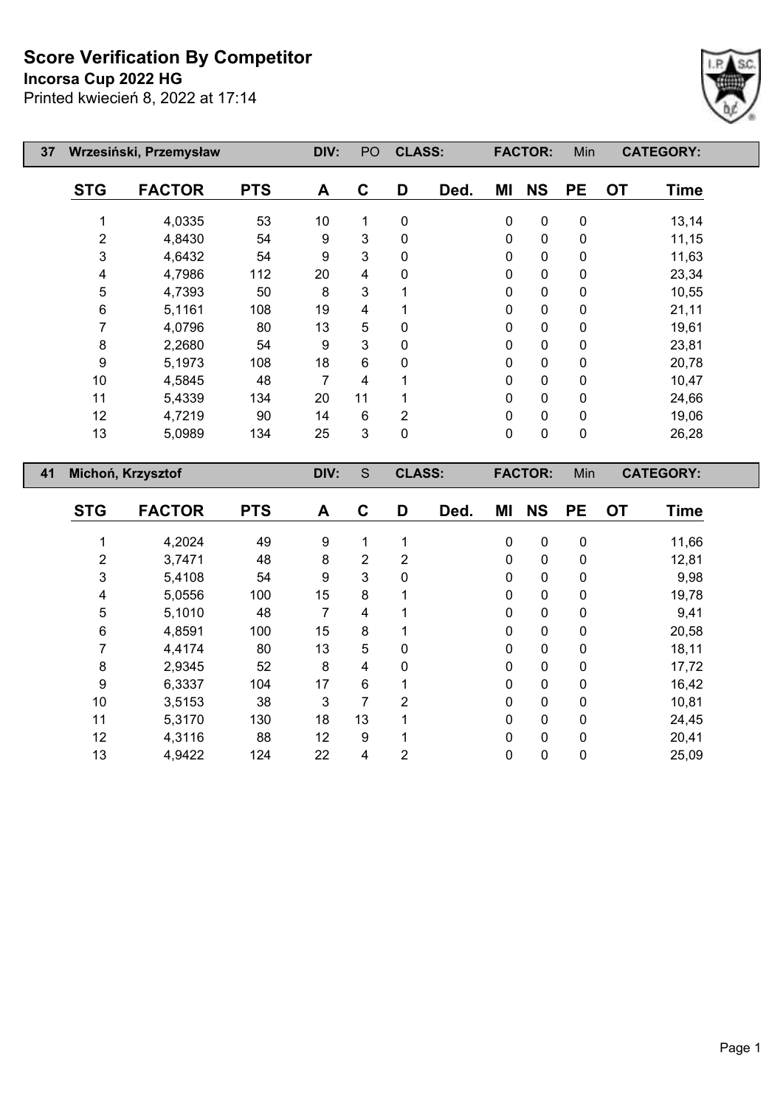**Incorsa Cup 2022 HG**

 $\overline{\phantom{a}}$ 

Г



| 37 |            | Wrzesiński, Przemysław |            | DIV: | PO             | <b>CLASS:</b>  |            |    | <b>FACTOR:</b> | Min       |           | <b>CATEGORY:</b> |  |
|----|------------|------------------------|------------|------|----------------|----------------|------------|----|----------------|-----------|-----------|------------------|--|
|    | <b>STG</b> | <b>FACTOR</b>          | <b>PTS</b> | A    | $\mathbf c$    | D              | Ded.       | ΜI | <b>NS</b>      | <b>PE</b> | <b>OT</b> | <b>Time</b>      |  |
|    |            | 4,0335                 | 53         | 10   | 1              | 0              |            | 0  | $\pmb{0}$      | 0         |           | 13,14            |  |
|    | 2          | 4,8430                 | 54         | 9    | 3              | 0              |            | 0  | $\pmb{0}$      | 0         |           | 11,15            |  |
|    | 3          | 4,6432                 | 54         | 9    | 3              | 0              |            | 0  | $\pmb{0}$      | 0         |           | 11,63            |  |
|    | 4          | 4,7986                 | 112        | 20   | 4              | 0              |            | 0  | $\pmb{0}$      | 0         |           | 23,34            |  |
|    | 5          | 4,7393                 | 50         | 8    | 3              |                |            | 0  | $\pmb{0}$      | 0         |           | 10,55            |  |
|    | 6          | 5,1161                 | 108        | 19   | 4              |                |            | 0  | $\pmb{0}$      | 0         |           | 21,11            |  |
|    |            | 4,0796                 | 80         | 13   | 5              | 0              |            | 0  | 0              | 0         |           | 19,61            |  |
|    | 8          | 2,2680                 | 54         | 9    | 3              | $\mathbf{0}$   |            | 0  | $\mathbf 0$    | 0         |           | 23,81            |  |
|    | 9          | 5,1973                 | 108        | 18   | $6\phantom{1}$ | 0              |            | 0  | $\pmb{0}$      | 0         |           | 20,78            |  |
|    | 10         | 4,5845                 | 48         | 7    | 4              |                |            | 0  | $\pmb{0}$      | 0         |           | 10,47            |  |
|    | 11         | 5,4339                 | 134        | 20   | 11             |                |            | 0  | $\pmb{0}$      | 0         |           | 24,66            |  |
|    | 12         | 4,7219                 | 90         | 14   | $6\phantom{1}$ | $\overline{2}$ |            | 0  | $\mathbf 0$    | 0         |           | 19,06            |  |
|    | 13         | 5,0989                 | 134        | 25   | 3              | 0              |            | 0  | $\mathbf 0$    | 0         |           | 26,28            |  |
| 41 |            | Michoń, Krzysztof      |            | DIV: | S              | <b>CLASS:</b>  |            |    | <b>FACTOR:</b> | Min       |           | <b>CATEGORY:</b> |  |
|    | <b>STG</b> | <b>EACTOR</b>          | <b>DTQ</b> | Δ    | C              | D              | <b>Dad</b> | MI | <b>NQ</b>      | DF        | nτ        | Tima             |  |

| <b>STG</b> | <b>FACTOR</b> | <b>PTS</b> | A  | C  | D | Ded. | ΜI       | <b>NS</b>    | <b>PE</b>    | <b>OT</b> | <b>Time</b> |
|------------|---------------|------------|----|----|---|------|----------|--------------|--------------|-----------|-------------|
|            | 4,2024        | 49         | 9  |    |   |      | 0        | $\mathbf{0}$ | $\mathbf 0$  |           | 11,66       |
| 2          | 3,7471        | 48         | 8  | 2  | 2 |      | 0        | 0            | 0            |           | 12,81       |
| 3          | 5,4108        | 54         | 9  | 3  | 0 |      | 0        | 0            | 0            |           | 9,98        |
| 4          | 5,0556        | 100        | 15 | 8  |   |      | 0        | 0            | $\Omega$     |           | 19,78       |
| 5          | 5,1010        | 48         | 7  | 4  |   |      | 0        | 0            | $\mathbf 0$  |           | 9,41        |
| 6          | 4,8591        | 100        | 15 | 8  |   |      | 0        | 0            | $\mathbf{0}$ |           | 20,58       |
|            | 4,4174        | 80         | 13 | 5  | 0 |      | $\Omega$ | 0            | $\mathbf{0}$ |           | 18,11       |
| 8          | 2,9345        | 52         | 8  | 4  | 0 |      | 0        | 0            | $\mathbf{0}$ |           | 17,72       |
| 9          | 6,3337        | 104        | 17 | 6  |   |      | 0        | 0            | $\mathbf{0}$ |           | 16,42       |
| 10         | 3,5153        | 38         | 3  | 7  | 2 |      | 0        | 0            | 0            |           | 10,81       |
| 11         | 5,3170        | 130        | 18 | 13 |   |      | $\Omega$ | 0            | $\Omega$     |           | 24,45       |
| 12         | 4,3116        | 88         | 12 | 9  |   |      | 0        | 0            | $\mathbf{0}$ |           | 20,41       |
| 13         | 4,9422        | 124        | 22 | 4  | 2 |      | 0        | 0            | 0            |           | 25,09       |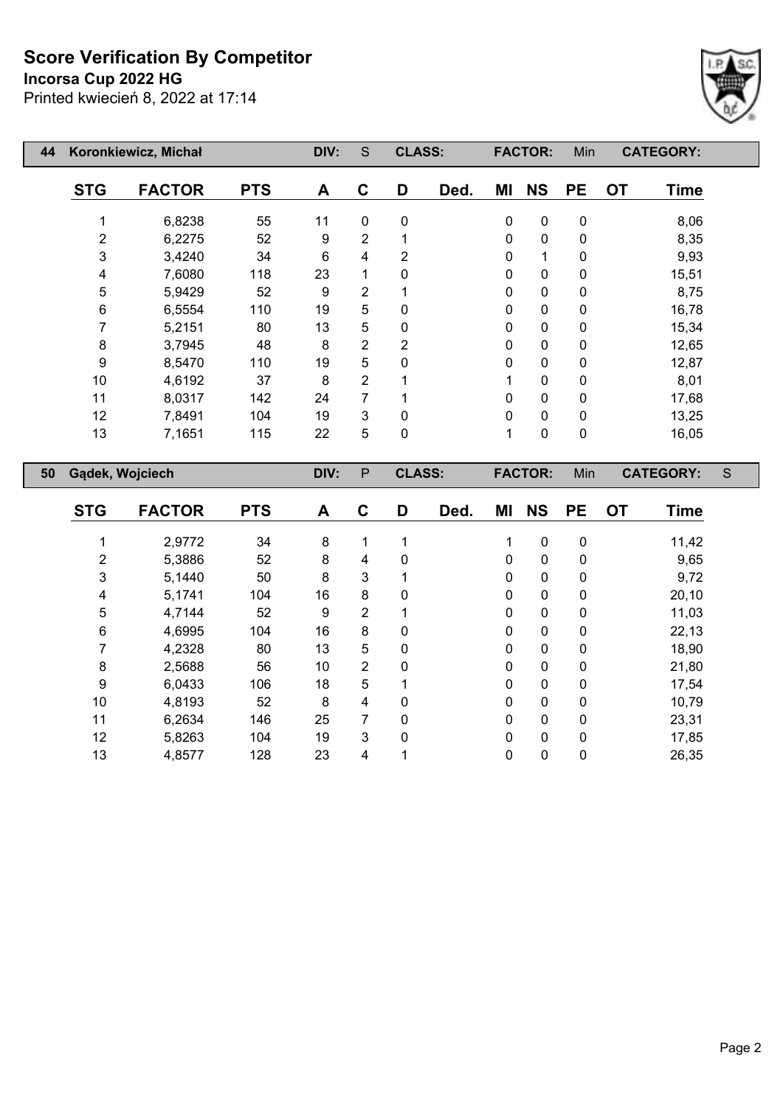**Incorsa Cup 2022 HG**



| 44 |                 | Koronkiewicz, Michał |            | DIV: | S              | <b>CLASS:</b> |      |             | <b>FACTOR:</b> | Min         | <b>CATEGORY:</b>         |   |
|----|-----------------|----------------------|------------|------|----------------|---------------|------|-------------|----------------|-------------|--------------------------|---|
|    | <b>STG</b>      | <b>FACTOR</b>        | <b>PTS</b> | A    | C              | D             | Ded. | ΜI          | <b>NS</b>      | <b>PE</b>   | <b>OT</b><br><b>Time</b> |   |
|    | 1               | 6,8238               | 55         | 11   | $\mathbf{0}$   | $\mathbf 0$   |      | $\pmb{0}$   | $\pmb{0}$      | $\pmb{0}$   | 8,06                     |   |
|    | $\overline{2}$  | 6,2275               | 52         | 9    | $\overline{2}$ |               |      | $\pmb{0}$   | $\pmb{0}$      | $\pmb{0}$   | 8,35                     |   |
|    | 3               | 3,4240               | 34         | 6    | 4              | 2             |      | 0           | 1              | $\mathbf 0$ | 9,93                     |   |
|    | 4               | 7,6080               | 118        | 23   | 1              | $\Omega$      |      | 0           | $\pmb{0}$      | $\pmb{0}$   | 15,51                    |   |
|    | 5               | 5,9429               | 52         | 9    | $\overline{2}$ |               |      | $\mathbf 0$ | 0              | $\pmb{0}$   | 8,75                     |   |
|    | $\,6\,$         | 6,5554               | 110        | 19   | 5              | 0             |      | 0           | $\pmb{0}$      | $\mathbf 0$ | 16,78                    |   |
|    | 7               | 5,2151               | 80         | 13   | 5              | $\Omega$      |      | 0           | $\pmb{0}$      | $\pmb{0}$   | 15,34                    |   |
|    | $\bf 8$         | 3,7945               | 48         | 8    | $\overline{2}$ | 2             |      | $\mathbf 0$ | $\pmb{0}$      | $\pmb{0}$   | 12,65                    |   |
|    | 9               | 8,5470               | 110        | 19   | 5              | 0             |      | 0           | $\mathbf 0$    | $\mathbf 0$ | 12,87                    |   |
|    | 10              | 4,6192               | 37         | 8    | $\overline{2}$ |               |      |             | $\pmb{0}$      | $\pmb{0}$   | 8,01                     |   |
|    | 11              | 8,0317               | 142        | 24   | 7              |               |      | $\Omega$    | 0              | 0           | 17,68                    |   |
|    | 12              | 7,8491               | 104        | 19   | 3              | 0             |      | 0           | $\pmb{0}$      | 0           | 13,25                    |   |
|    | 13              | 7,1651               | 115        | 22   | 5              | 0             |      | 1           | 0              | $\pmb{0}$   | 16,05                    |   |
| 50 | Gądek, Wojciech |                      |            | DIV: | $\mathsf{P}$   | <b>CLASS:</b> |      |             | <b>FACTOR:</b> | Min         | <b>CATEGORY:</b>         | S |
|    | <b>STG</b>      | <b>FACTOR</b>        | <b>PTS</b> | A    | C              | D             | Ded. | ΜI          | <b>NS</b>      | <b>PE</b>   | <b>OT</b><br><b>Time</b> |   |
|    |                 |                      |            |      |                |               |      |             |                |             |                          |   |

|              | 2,9772 | 34  | 8  | 1              |          |              | 0            | 0 | 11,42 |
|--------------|--------|-----|----|----------------|----------|--------------|--------------|---|-------|
| 2            | 5,3886 | 52  | 8  | 4              | 0        | 0            | 0            | 0 | 9,65  |
| $\mathbf{3}$ | 5,1440 | 50  | 8  | 3              |          | $\Omega$     | 0            | 0 | 9,72  |
| 4            | 5,1741 | 104 | 16 | 8              | 0        | $\Omega$     | 0            | 0 | 20,10 |
| 5            | 4,7144 | 52  | 9  | $\overline{2}$ |          | $\Omega$     | 0            | 0 | 11,03 |
| 6            | 4,6995 | 104 | 16 | 8              | 0        | 0            | 0            | 0 | 22,13 |
|              | 4,2328 | 80  | 13 | 5              | 0        | 0            | 0            | 0 | 18,90 |
| 8            | 2,5688 | 56  | 10 | $\overline{2}$ | $\Omega$ | $\Omega$     | $\mathbf{0}$ | 0 | 21,80 |
| 9            | 6,0433 | 106 | 18 | 5              |          | $\Omega$     | $\mathbf{0}$ | 0 | 17,54 |
| 10           | 4,8193 | 52  | 8  | 4              | $\Omega$ | $\Omega$     | $\mathbf{0}$ | 0 | 10,79 |
| 11           | 6,2634 | 146 | 25 | 7              | 0        | 0            | 0            | 0 | 23,31 |
| 12           | 5,8263 | 104 | 19 | 3              | 0        | $\mathbf{0}$ | $\mathbf{0}$ | 0 | 17,85 |
| 13           | 4,8577 | 128 | 23 | 4              |          | 0            | 0            | 0 | 26,35 |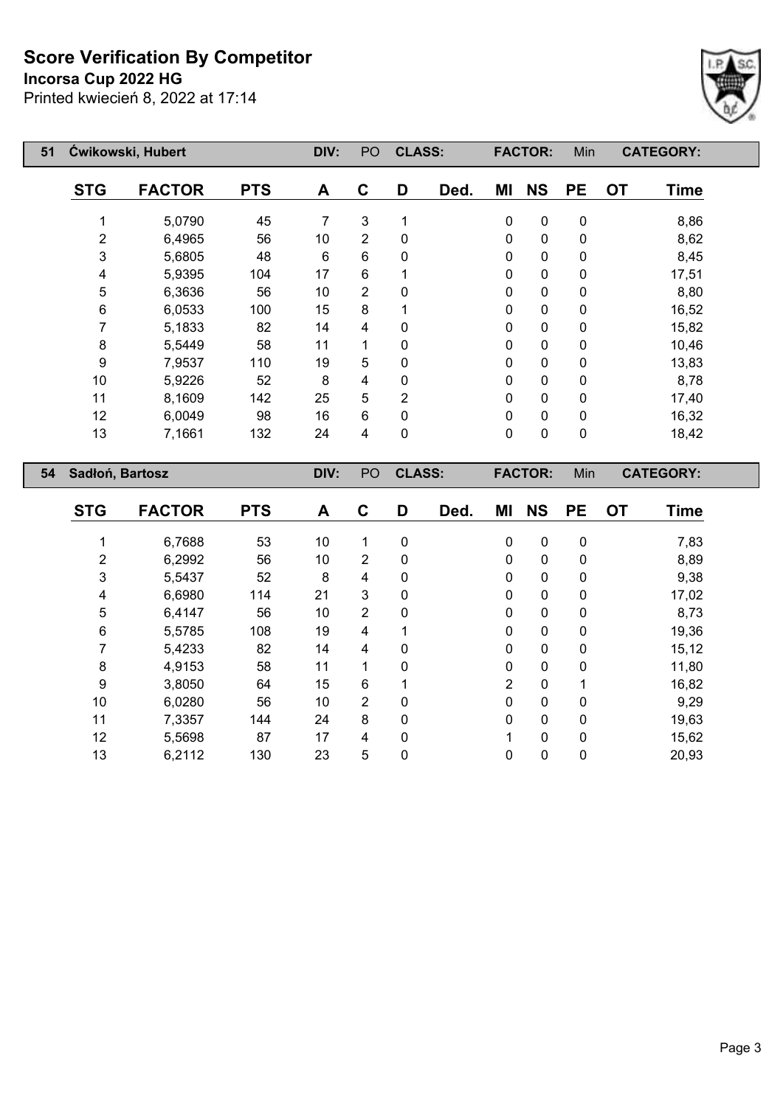**Incorsa Cup 2022 HG**



| 51 |                 | Čwikowski, Hubert |            |      | PO | <b>CLASS:</b>  |      |             | <b>FACTOR:</b> | Min         |           | <b>CATEGORY:</b> |
|----|-----------------|-------------------|------------|------|----|----------------|------|-------------|----------------|-------------|-----------|------------------|
|    | <b>STG</b>      | <b>FACTOR</b>     | <b>PTS</b> | A    | C  | D              | Ded. | ΜI          | <b>NS</b>      | <b>PE</b>   | <b>OT</b> | <b>Time</b>      |
|    |                 | 5,0790            | 45         | 7    | 3  | 1              |      | $\pmb{0}$   | 0              | $\pmb{0}$   |           | 8,86             |
|    | 2               | 6,4965            | 56         | 10   | 2  | $\mathbf{0}$   |      | $\mathbf 0$ | 0              | $\pmb{0}$   |           | 8,62             |
|    | 3               | 5,6805            | 48         | 6    | 6  | 0              |      | $\mathbf 0$ | 0              | 0           |           | 8,45             |
|    | 4               | 5,9395            | 104        | 17   | 6  |                |      | $\mathbf 0$ | 0              | 0           |           | 17,51            |
|    | 5               | 6,3636            | 56         | 10   | 2  | $\Omega$       |      | $\mathbf 0$ | 0              | 0           |           | 8,80             |
|    | 6               | 6,0533            | 100        | 15   | 8  |                |      | 0           | 0              | 0           |           | 16,52            |
|    |                 | 5,1833            | 82         | 14   | 4  | 0              |      | 0           | 0              | $\mathbf 0$ |           | 15,82            |
|    | 8               | 5,5449            | 58         | 11   | 1  | 0              |      | 0           | 0              | $\mathbf 0$ |           | 10,46            |
|    | 9               | 7,9537            | 110        | 19   | 5  | 0              |      | 0           | 0              | $\mathbf 0$ |           | 13,83            |
|    | 10              | 5,9226            | 52         | 8    | 4  | 0              |      | 0           | 0              | 0           |           | 8,78             |
|    | 11              | 8,1609            | 142        | 25   | 5  | $\overline{2}$ |      | $\mathbf 0$ | 0              | 0           |           | 17,40            |
|    | 12              | 6,0049            | 98         | 16   | 6  | 0              |      | 0           | 0              | 0           |           | 16,32            |
|    | 13              | 7,1661            | 132        | 24   | 4  | $\mathbf 0$    |      | 0           | 0              | 0           |           | 18,42            |
| 54 | Sadłoń, Bartosz |                   |            | DIV: | PO | <b>CLASS:</b>  |      |             | <b>FACTOR:</b> | Min         |           | <b>CATEGORY:</b> |

| <b>STG</b> | <b>FACTOR</b> | <b>PTS</b> | A  | C              | D            | Ded. | ΜI             | <b>NS</b>   | <b>PE</b>    | <b>OT</b> | <b>Time</b> |
|------------|---------------|------------|----|----------------|--------------|------|----------------|-------------|--------------|-----------|-------------|
|            | 6,7688        | 53         | 10 | 1              | 0            |      | 0              | 0           | 0            |           | 7,83        |
| 2          | 6,2992        | 56         | 10 | $\overline{2}$ | 0            |      | 0              | 0           | 0            |           | 8,89        |
| 3          | 5,5437        | 52         | 8  | 4              | 0            |      | $\Omega$       | 0           | 0            |           | 9,38        |
| 4          | 6,6980        | 114        | 21 | 3              | 0            |      | 0              | 0           | 0            |           | 17,02       |
| 5          | 6,4147        | 56         | 10 | $\overline{2}$ | 0            |      | $\Omega$       | 0           | 0            |           | 8,73        |
| 6          | 5,5785        | 108        | 19 | 4              | 1            |      | 0              | 0           | $\mathbf{0}$ |           | 19,36       |
| 7          | 5,4233        | 82         | 14 | 4              | 0            |      | 0              | 0           | 0            |           | 15,12       |
| 8          | 4,9153        | 58         | 11 | 1              | 0            |      | 0              | $\mathbf 0$ | $\mathbf{0}$ |           | 11,80       |
| 9          | 3,8050        | 64         | 15 | 6              |              |      | $\overline{2}$ | $\mathbf 0$ |              |           | 16,82       |
| 10         | 6,0280        | 56         | 10 | $\overline{2}$ | $\mathbf{0}$ |      | $\Omega$       | 0           | $\mathbf{0}$ |           | 9,29        |
| 11         | 7,3357        | 144        | 24 | 8              | 0            |      | 0              | 0           | $\mathbf{0}$ |           | 19,63       |
| 12         | 5,5698        | 87         | 17 | 4              | $\mathbf{0}$ |      | 1              | 0           | $\Omega$     |           | 15,62       |
| 13         | 6,2112        | 130        | 23 | 5              | 0            |      | 0              | 0           | 0            |           | 20,93       |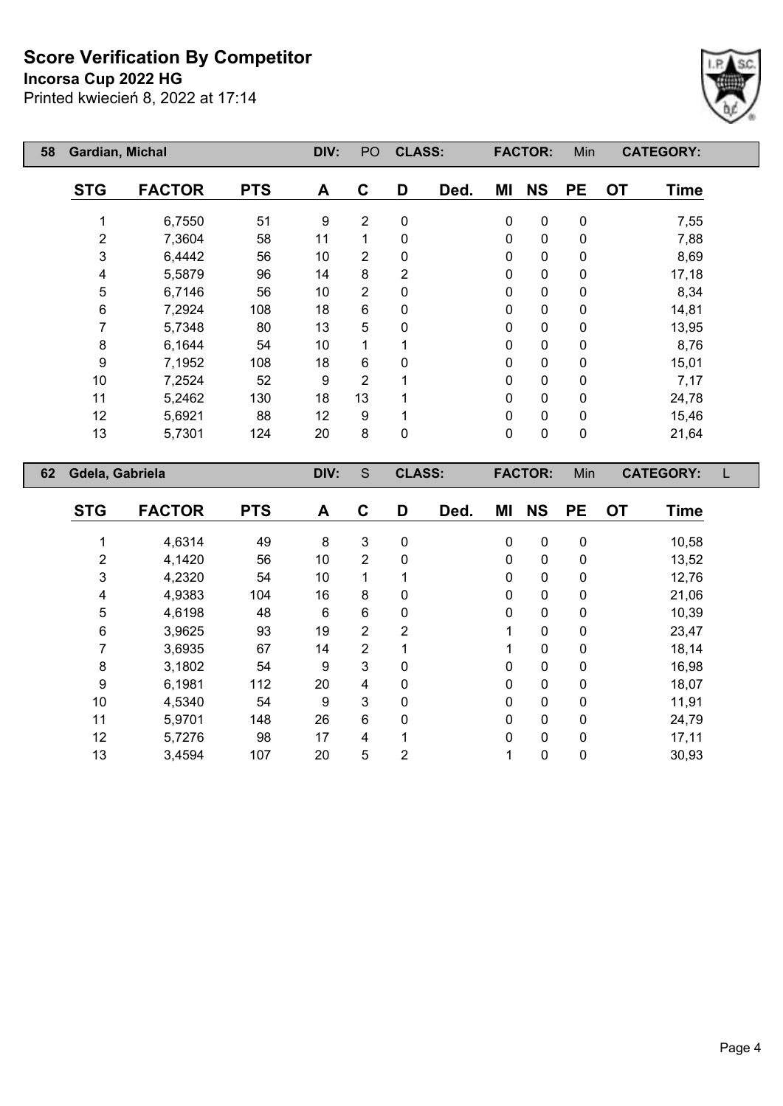**Incorsa Cup 2022 HG**



| 58 | Gardian, Michal |               |            | DIV: | PO             | <b>CLASS:</b> |      |             | <b>FACTOR:</b> | Min         | <b>CATEGORY:</b> |             |
|----|-----------------|---------------|------------|------|----------------|---------------|------|-------------|----------------|-------------|------------------|-------------|
|    | <b>STG</b>      | <b>FACTOR</b> | <b>PTS</b> | A    | C              | D             | Ded. | ΜI          | <b>NS</b>      | <b>PE</b>   | <b>OT</b>        | <b>Time</b> |
|    |                 | 6,7550        | 51         | 9    | $\overline{2}$ | 0             |      | $\pmb{0}$   | 0              | $\pmb{0}$   |                  | 7,55        |
|    | 2               | 7,3604        | 58         | 11   | 1              | 0             |      | $\mathbf 0$ | 0              | $\mathbf 0$ |                  | 7,88        |
|    | 3               | 6,4442        | 56         | 10   | $\overline{2}$ | 0             |      | $\mathbf 0$ | 0              | 0           |                  | 8,69        |
|    | 4               | 5,5879        | 96         | 14   | 8              | 2             |      | 0           | 0              | 0           |                  | 17,18       |
|    | 5               | 6,7146        | 56         | 10   | $\overline{2}$ | 0             |      | 0           | 0              | 0           |                  | 8,34        |
|    | 6               | 7,2924        | 108        | 18   | $6\phantom{1}$ | 0             |      | 0           | 0              | $\pmb{0}$   |                  | 14,81       |
|    | 7               | 5,7348        | 80         | 13   | 5              | 0             |      | 0           | 0              | 0           |                  | 13,95       |
|    | 8               | 6,1644        | 54         | 10   | 1              |               |      | 0           | 0              | 0           |                  | 8,76        |
|    | 9               | 7,1952        | 108        | 18   | 6              | 0             |      | 0           | 0              | $\mathbf 0$ |                  | 15,01       |
|    | 10              | 7,2524        | 52         | 9    | 2              |               |      | 0           | 0              | 0           |                  | 7,17        |
|    | 11              | 5,2462        | 130        | 18   | 13             |               |      | 0           | 0              | 0           |                  | 24,78       |
|    | 12              | 5,6921        | 88         | 12   | 9              |               |      | 0           | 0              | 0           |                  | 15,46       |
|    | 13              | 5,7301        | 124        | 20   | 8              | 0             |      | 0           | 0              | $\pmb{0}$   |                  | 21,64       |
|    |                 |               |            |      | S              |               |      |             |                |             |                  |             |
| 62 | Gdela, Gabriela |               |            | DIV: |                | <b>CLASS:</b> |      |             | <b>FACTOR:</b> | Min         | <b>CATEGORY:</b> | L           |
|    | <b>STG</b>      | <b>FACTOR</b> | <b>PTS</b> | A    | C              | D             | Ded. | ΜI          | <b>NS</b>      | <b>PE</b>   | <b>OT</b>        | Time        |

| 51 G | <b>FAVIUR</b> | r i ə | $\mathbf{A}$ | v              | ע              | veu. | <b>IVII</b>  | UJ.          | rc. | VI. | гше   |
|------|---------------|-------|--------------|----------------|----------------|------|--------------|--------------|-----|-----|-------|
|      |               |       |              |                |                |      |              |              |     |     |       |
|      | 4,6314        | 49    | 8            | 3              | 0              |      | 0            | 0            | 0   |     | 10,58 |
| 2    | 4,1420        | 56    | 10           | $\overline{2}$ | 0              |      | $\mathbf{0}$ | 0            | 0   |     | 13,52 |
| 3    | 4,2320        | 54    | 10           | 1              |                |      | 0            | 0            | 0   |     | 12,76 |
| 4    | 4,9383        | 104   | 16           | 8              | 0              |      | 0            | 0            | 0   |     | 21,06 |
| 5    | 4,6198        | 48    | 6            | 6              | 0              |      | $\mathbf{0}$ | $\mathbf{0}$ | 0   |     | 10,39 |
| 6    | 3,9625        | 93    | 19           | $\overline{2}$ | $\overline{2}$ |      |              | 0            | 0   |     | 23,47 |
|      | 3,6935        | 67    | 14           | $\overline{2}$ |                |      |              | 0            | 0   |     | 18,14 |
| 8    | 3,1802        | 54    | 9            | 3              | 0              |      | $\mathbf{0}$ | $\mathbf{0}$ | 0   |     | 16,98 |
| 9    | 6,1981        | 112   | 20           | 4              | 0              |      | 0            | 0            | 0   |     | 18,07 |
| 10   | 4,5340        | 54    | 9            | 3              | 0              |      | 0            | 0            | 0   |     | 11,91 |
| 11   | 5,9701        | 148   | 26           | 6              | 0              |      | $\mathbf{0}$ | 0            | 0   |     | 24,79 |
| 12   | 5,7276        | 98    | 17           | 4              |                |      | 0            | 0            | 0   |     | 17,11 |
| 13   | 3,4594        | 107   | 20           | 5              | $\overline{2}$ |      |              | 0            | 0   |     | 30,93 |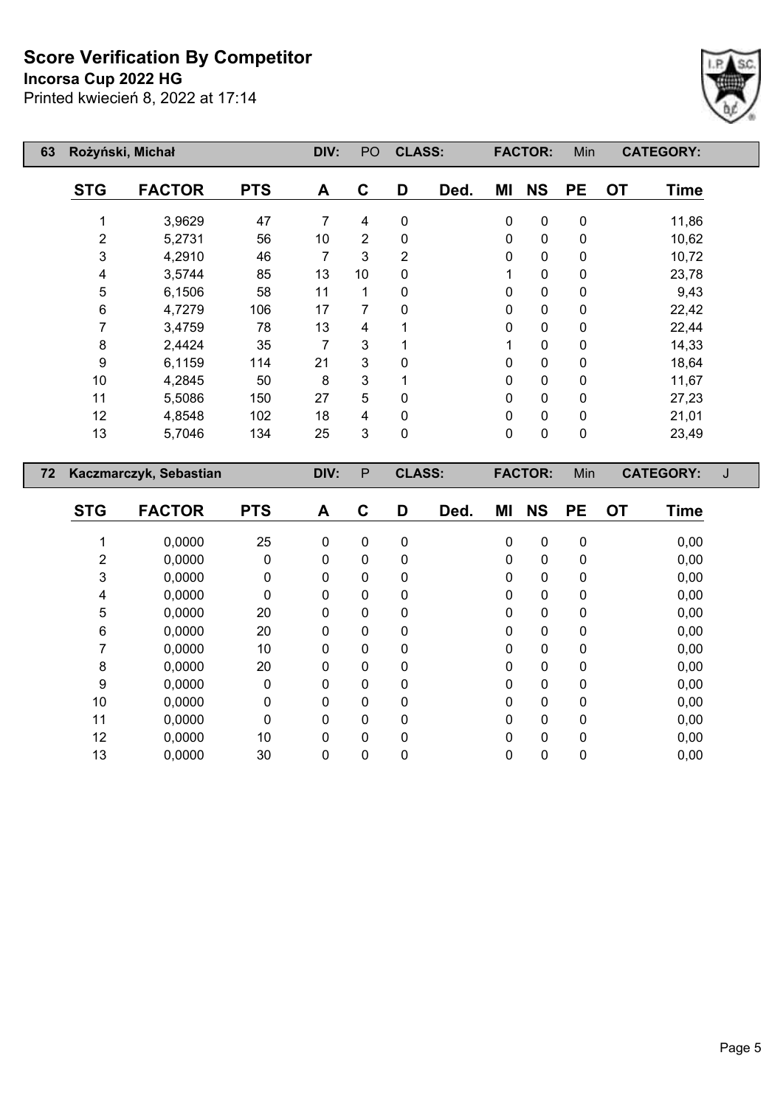**Incorsa Cup 2022 HG**



| 63 |                     | Rożyński, Michał       |            | DIV:           | PO             | <b>CLASS:</b>  |      |    | <b>FACTOR:</b>         | Min                    |           | <b>CATEGORY:</b> |   |
|----|---------------------|------------------------|------------|----------------|----------------|----------------|------|----|------------------------|------------------------|-----------|------------------|---|
|    | <b>STG</b>          | <b>FACTOR</b>          | <b>PTS</b> | A              | $\mathbf C$    | D              | Ded. | MI | <b>NS</b>              | <b>PE</b>              | <b>OT</b> | <b>Time</b>      |   |
|    | 1                   | 3,9629                 | 47         | 7              | 4              | $\pmb{0}$      |      | 0  | $\pmb{0}$              | $\pmb{0}$              |           | 11,86            |   |
|    | $\boldsymbol{2}$    | 5,2731                 | 56         | 10             | $\overline{2}$ | $\pmb{0}$      |      | 0  | $\pmb{0}$              | $\pmb{0}$              |           | 10,62            |   |
|    | 3                   | 4,2910                 | 46         | $\overline{7}$ | 3              | $\overline{2}$ |      | 0  | $\mathbf 0$            | $\pmb{0}$              |           | 10,72            |   |
|    | 4                   | 3,5744                 | 85         | 13             | 10             | 0              |      | 1  | $\mathbf 0$            | 0                      |           | 23,78            |   |
|    | 5                   | 6,1506                 | 58         | 11             | 1              | 0              |      | 0  | $\pmb{0}$              | 0                      |           | 9,43             |   |
|    | $\,6$               | 4,7279                 | 106        | 17             | 7              | 0              |      | 0  | $\pmb{0}$              | $\pmb{0}$              |           | 22,42            |   |
|    | $\overline{7}$      | 3,4759                 | 78         | 13             | 4              | 1              |      | 0  | $\pmb{0}$              | $\pmb{0}$              |           | 22,44            |   |
|    | $\bf 8$             | 2,4424                 | 35         | 7              | 3              | 1              |      | 1  | $\pmb{0}$              | 0                      |           | 14,33            |   |
|    | 9                   | 6,1159                 | 114        | 21             | 3              | 0              |      | 0  | $\pmb{0}$              | $\pmb{0}$              |           | 18,64            |   |
|    | 10                  | 4,2845                 | 50         | 8              | 3              | $\mathbf 1$    |      | 0  | $\mathbf 0$            | $\pmb{0}$              |           | 11,67            |   |
|    | 11                  | 5,5086                 | 150        | 27             | 5              | 0              |      | 0  | $\pmb{0}$              | $\pmb{0}$              |           | 27,23            |   |
|    | 12                  | 4,8548                 | 102        | 18             | 4              | $\pmb{0}$      |      | 0  | $\pmb{0}$              | $\pmb{0}$              |           | 21,01            |   |
|    | 13                  | 5,7046                 | 134        | 25             | 3              | $\pmb{0}$      |      | 0  | $\pmb{0}$              | $\pmb{0}$              |           | 23,49            |   |
|    |                     |                        |            |                |                |                |      |    |                        |                        |           |                  |   |
|    |                     |                        |            |                |                |                |      |    |                        |                        |           |                  |   |
| 72 |                     | Kaczmarczyk, Sebastian |            | DIV:           | P              | <b>CLASS:</b>  |      |    | <b>FACTOR:</b>         | Min                    |           | <b>CATEGORY:</b> | J |
|    | <b>STG</b>          | <b>FACTOR</b>          | <b>PTS</b> | A              | $\mathbf C$    | D              | Ded. | MI | <b>NS</b>              | <b>PE</b>              | <b>OT</b> | <b>Time</b>      |   |
|    | 1                   | 0,0000                 |            | $\pmb{0}$      | 0              | $\pmb{0}$      |      | 0  |                        |                        |           |                  |   |
|    |                     | 0,0000                 | 25<br>0    | 0              | 0              | $\pmb{0}$      |      | 0  | $\pmb{0}$<br>$\pmb{0}$ | $\pmb{0}$<br>$\pmb{0}$ |           | 0,00<br>0,00     |   |
|    | $\overline{c}$<br>3 | 0,0000                 | 0          | 0              | 0              | 0              |      | 0  | $\pmb{0}$              | $\pmb{0}$              |           | 0,00             |   |
|    | 4                   | 0,0000                 | 0          | $\mathbf 0$    | 0              | 0              |      | 0  | $\mathbf 0$            | $\pmb{0}$              |           | 0,00             |   |
|    | 5                   | 0,0000                 | 20         | 0              | 0              | $\pmb{0}$      |      | 0  | $\pmb{0}$              | 0                      |           | 0,00             |   |
|    | $\,6$               | 0,0000                 | 20         | $\mathbf 0$    | 0              | $\pmb{0}$      |      | 0  | $\pmb{0}$              | $\pmb{0}$              |           | 0,00             |   |
|    | $\overline{7}$      | 0,0000                 | 10         | 0              | 0              | 0              |      | 0  | $\pmb{0}$              | $\pmb{0}$              |           | 0,00             |   |
|    | 8                   | 0,0000                 | 20         | 0              | 0              | 0              |      | 0  | $\pmb{0}$              | 0                      |           | 0,00             |   |
|    | $\boldsymbol{9}$    | 0,0000                 | $\pmb{0}$  | 0              | 0              | $\pmb{0}$      |      | 0  | $\pmb{0}$              | $\pmb{0}$              |           | 0,00             |   |
|    | 10                  | 0,0000                 | 0          | 0              | 0              | 0              |      | 0  | $\pmb{0}$              | $\pmb{0}$              |           | 0,00             |   |
|    | 11                  | 0,0000                 | 0          | $\mathbf 0$    | 0              | 0              |      | 0  | $\pmb{0}$              | 0                      |           | 0,00             |   |
|    | 12                  | 0,0000                 | 10         | $\mathbf 0$    | 0              | 0              |      | 0  | $\pmb{0}$              | 0                      |           | 0,00             |   |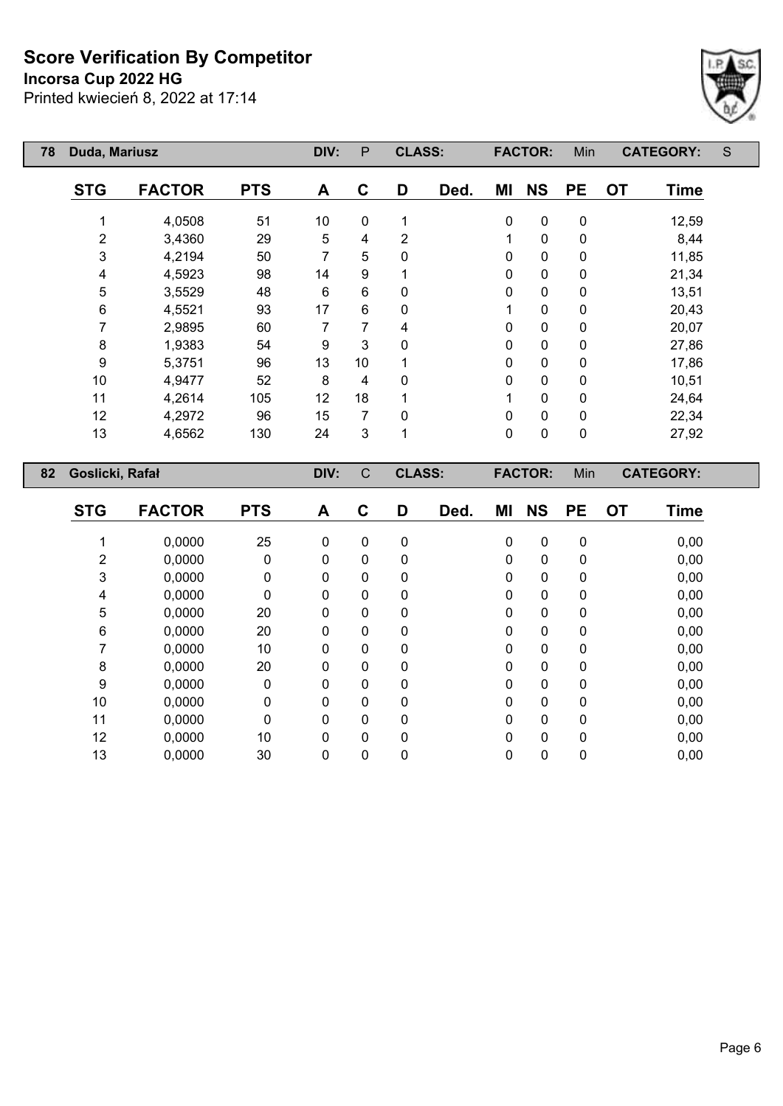**Incorsa Cup 2022 HG**

Printed kwiecień 8, 2022 at 17:14



| 78 | Duda, Mariusz   |               |            |      | $\mathsf{P}$   | <b>CLASS:</b>  |      |           | <b>FACTOR:</b> | Min       |           | <b>CATEGORY:</b> | S |
|----|-----------------|---------------|------------|------|----------------|----------------|------|-----------|----------------|-----------|-----------|------------------|---|
|    | <b>STG</b>      | <b>FACTOR</b> | <b>PTS</b> | A    | C              | D              | Ded. | MI        | <b>NS</b>      | <b>PE</b> | <b>OT</b> | <b>Time</b>      |   |
|    | 1               | 4,0508        | 51         | 10   | 0              | 1              |      | $\pmb{0}$ | 0              | $\pmb{0}$ |           | 12,59            |   |
|    | 2               | 3,4360        | 29         | 5    | 4              | $\overline{2}$ |      | 1         | 0              | $\pmb{0}$ |           | 8,44             |   |
|    | 3               | 4,2194        | 50         | 7    | 5              | 0              |      | 0         | 0              | $\pmb{0}$ |           | 11,85            |   |
|    | 4               | 4,5923        | 98         | 14   | 9              |                |      | 0         | 0              | $\pmb{0}$ |           | 21,34            |   |
|    | 5               | 3,5529        | 48         | 6    | $6\phantom{1}$ | 0              |      | 0         | $\pmb{0}$      | 0         |           | 13,51            |   |
|    | 6               | 4,5521        | 93         | 17   | 6              | 0              |      |           | 0              | 0         |           | 20,43            |   |
|    | 7               | 2,9895        | 60         | 7    | 7              | 4              |      | 0         | 0              | 0         |           | 20,07            |   |
|    | 8               | 1,9383        | 54         | 9    | 3              | 0              |      | 0         | 0              | 0         |           | 27,86            |   |
|    | 9               | 5,3751        | 96         | 13   | 10             |                |      | 0         | 0              | 0         |           | 17,86            |   |
|    | 10              | 4,9477        | 52         | 8    | 4              | 0              |      | 0         | 0              | $\pmb{0}$ |           | 10,51            |   |
|    | 11              | 4,2614        | 105        | 12   | 18             |                |      |           | 0              | $\pmb{0}$ |           | 24,64            |   |
|    | 12              | 4,2972        | 96         | 15   | 7              | 0              |      | 0         | $\pmb{0}$      | 0         |           | 22,34            |   |
|    | 13              | 4,6562        | 130        | 24   | 3              | 1              |      | $\pmb{0}$ | $\pmb{0}$      | $\pmb{0}$ |           | 27,92            |   |
| 82 | Goslicki, Rafał |               |            | DIV: | $\mathsf{C}$   | <b>CLASS:</b>  |      |           | <b>FACTOR:</b> | Min       |           | <b>CATEGORY:</b> |   |
|    | <b>STG</b>      | <b>FACTOR</b> | <b>PTS</b> | A    | C              | D              | Ded. | ΜI        | <b>NS</b>      | <b>PE</b> | <b>OT</b> | <b>Time</b>      |   |
|    |                 | 0,0000        | 25         | 0    | 0              | 0              |      | 0         | 0              | $\pmb{0}$ |           | 0,00             |   |
|    | $\overline{2}$  | 0,0000        | 0          | 0    | $\Omega$       | 0              |      | 0         | 0              | 0         |           | 0,00             |   |

 0,0000 0 0 0 0 0 0 0 0,00 0,0000 0 0 0 0 0 0 0 0,00 0,0000 20 0 0 0 0 0 0 0,00 0,0000 20 0 0 0 0 0 0 0,00 0,0000 10 0 0 0 0 0 0 0,00 0,0000 20 0 0 0 0 0 0 0,00 0,0000 0 0 0 0 0 0 0 0,00 0,0000 0 0 0 0 0 0 0 0,00 0,0000 0 0 0 0 0 0 0 0,00 0,0000 10 0 0 0 0 0 0 0,00 0,0000 30 0 0 0 0 0 0 0,00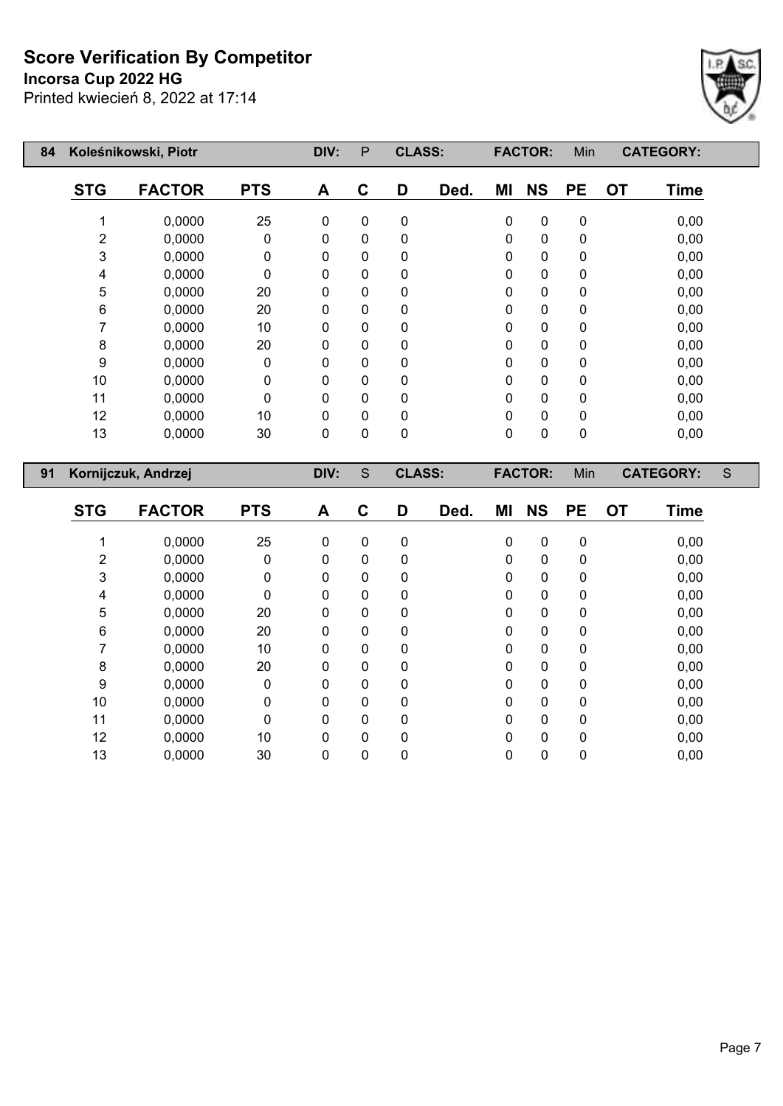**Incorsa Cup 2022 HG**

Printed kwiecień 8, 2022 at 17:14



| 84 |                  | Koleśnikowski, Piotr |            | DIV:             | $\mathsf{P}$ | <b>CLASS:</b> |      |           | <b>FACTOR:</b> | Min         |           | <b>CATEGORY:</b> |   |
|----|------------------|----------------------|------------|------------------|--------------|---------------|------|-----------|----------------|-------------|-----------|------------------|---|
|    | <b>STG</b>       | <b>FACTOR</b>        | <b>PTS</b> | A                | $\mathbf C$  | D             | Ded. | MI        | <b>NS</b>      | <b>PE</b>   | <b>OT</b> | <b>Time</b>      |   |
|    | 1                | 0,0000               | 25         | $\pmb{0}$        | $\pmb{0}$    | 0             |      | $\pmb{0}$ | $\pmb{0}$      | $\pmb{0}$   |           | 0,00             |   |
|    | 2                | 0,0000               | 0          | 0                | $\mathbf 0$  | 0             |      | 0         | $\mathbf 0$    | $\mathbf 0$ |           | 0,00             |   |
|    | 3                | 0,0000               | 0          | 0                | 0            | 0             |      | 0         | 0              | 0           |           | 0,00             |   |
|    | 4                | 0,0000               | 0          | 0                | 0            | 0             |      | 0         | $\mathbf 0$    | 0           |           | 0,00             |   |
|    | 5                | 0,0000               | 20         | 0                | 0            | 0             |      | 0         | $\mathbf 0$    | $\pmb{0}$   |           | 0,00             |   |
|    | 6                | 0,0000               | 20         | 0                | 0            | 0             |      | 0         | $\mathbf 0$    | 0           |           | 0,00             |   |
|    | 7                | 0,0000               | 10         | 0                | 0            | 0             |      | 0         | 0              | 0           |           | 0,00             |   |
|    | 8                | 0,0000               | 20         | 0                | 0            | 0             |      | 0         | $\mathbf 0$    | $\pmb{0}$   |           | 0,00             |   |
|    | $\boldsymbol{9}$ | 0,0000               | $\pmb{0}$  | 0                | 0            | 0             |      | 0         | $\mathbf 0$    | 0           |           | 0,00             |   |
|    | 10               | 0,0000               | 0          | 0                | 0            | 0             |      | 0         | $\mathbf 0$    | $\mathbf 0$ |           | 0,00             |   |
|    | 11               | 0,0000               | 0          | 0                | 0            | 0             |      | 0         | $\mathbf 0$    | 0           |           | 0,00             |   |
|    | 12               | 0,0000               | 10         | 0                | 0            | 0             |      | 0         | 0              | 0           |           | 0,00             |   |
|    | 13               | 0,0000               | 30         | 0                | 0            | 0             |      | 0         | $\mathbf 0$    | $\mathbf 0$ |           | 0,00             |   |
|    |                  |                      |            |                  |              |               |      |           |                |             |           |                  |   |
|    |                  |                      |            |                  |              |               |      |           |                |             |           |                  |   |
| 91 |                  | Kornijczuk, Andrzej  |            | DIV:             | $\mathbf S$  | <b>CLASS:</b> |      |           | <b>FACTOR:</b> | Min         |           | <b>CATEGORY:</b> | S |
|    | <b>STG</b>       | <b>FACTOR</b>        | <b>PTS</b> | $\blacktriangle$ | $\mathbf C$  | D             | Ded. | MI        | <b>NS</b>      | <b>PE</b>   | <b>OT</b> | <b>Time</b>      |   |
|    | 1                | 0,0000               | 25         | $\pmb{0}$        | $\pmb{0}$    | $\pmb{0}$     |      | 0         | 0              | 0           |           | 0,00             |   |
|    | 2                | 0,0000               | 0          | 0                | $\mathbf 0$  | 0             |      | 0         | 0              | $\pmb{0}$   |           | 0,00             |   |
|    | 3                | 0,0000               | 0          | 0                | 0            | 0             |      | 0         | 0              | 0           |           | 0,00             |   |
|    | 4                | 0,0000               | 0          | 0                | 0            | 0             |      | 0         | 0              | 0           |           | 0,00             |   |
|    | 5                | 0,0000               | 20         | 0                | 0            | 0             |      | 0         | $\mathbf 0$    | 0           |           | 0,00             |   |
|    | 6                | 0,0000               | 20         | 0                | 0            | 0             |      | 0         | 0              | 0           |           | 0,00             |   |
|    | $\overline{7}$   | 0,0000               | 10         | 0                | 0            | 0             |      | 0         | $\mathbf 0$    | $\mathbf 0$ |           | 0,00             |   |
|    | 8                | 0,0000               | 20         | 0                | 0            | 0             |      | 0         | $\mathbf 0$    | 0           |           | 0,00             |   |
|    | 9                | 0,0000               | 0          | 0                | 0            | 0             |      | 0         | 0              | 0           |           | 0,00             |   |
|    | 10               | 0,0000<br>0,0000     | 0          | 0                | 0            | 0             |      | 0         | $\mathbf 0$    | 0           |           | 0,00<br>0,00     |   |

 0,0000 10 0 0 0 0 0 0 0,00 0,0000 30 0 0 0 0 0 0 0,00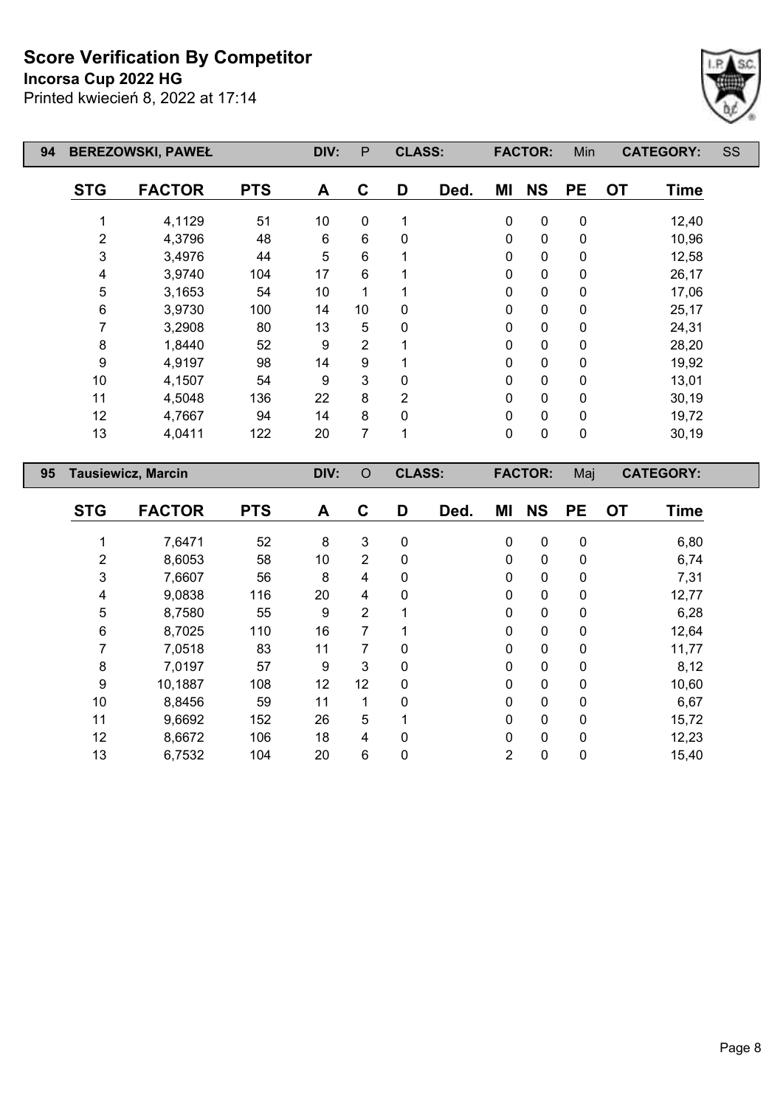**Incorsa Cup 2022 HG**

Printed kwiecień 8, 2022 at 17:14



| 94 | <b>BEREZOWSKI, PAWEŁ</b> |                           | DIV:       | P     | <b>CLASS:</b>  |                |      | <b>FACTOR:</b> | Min            |           | <b>CATEGORY:</b> | SS               |  |
|----|--------------------------|---------------------------|------------|-------|----------------|----------------|------|----------------|----------------|-----------|------------------|------------------|--|
|    | <b>STG</b>               | <b>FACTOR</b>             | <b>PTS</b> | A     | $\mathbf C$    | D              | Ded. | ΜI             | <b>NS</b>      | <b>PE</b> | <b>OT</b>        | Time             |  |
|    | 1                        | 4,1129                    | 51         | 10    | $\mathbf 0$    | 1              |      | $\pmb{0}$      | $\mathbf 0$    | $\pmb{0}$ |                  | 12,40            |  |
|    | 2                        | 4,3796                    | 48         | $\,6$ | $\,6$          | 0              |      | $\mathbf 0$    | 0              | $\pmb{0}$ |                  | 10,96            |  |
|    | 3                        | 3,4976                    | 44         | 5     | 6              | 1              |      | $\mathbf{0}$   | $\pmb{0}$      | $\pmb{0}$ |                  | 12,58            |  |
|    | 4                        | 3,9740                    | 104        | 17    | 6              | 1              |      | $\pmb{0}$      | $\pmb{0}$      | $\pmb{0}$ |                  | 26,17            |  |
|    | 5                        | 3,1653                    | 54         | 10    | 1              | 1              |      | 0              | $\pmb{0}$      | 0         |                  | 17,06            |  |
|    | 6                        | 3,9730                    | 100        | 14    | 10             | 0              |      | $\mathbf 0$    | $\pmb{0}$      | $\pmb{0}$ |                  | 25,17            |  |
|    | 7                        | 3,2908                    | 80         | 13    | 5              | 0              |      | $\pmb{0}$      | $\pmb{0}$      | $\pmb{0}$ |                  | 24,31            |  |
|    | 8                        | 1,8440                    | 52         | 9     | $\overline{2}$ | 1              |      | $\mathbf 0$    | $\pmb{0}$      | 0         |                  | 28,20            |  |
|    | 9                        | 4,9197                    | 98         | 14    | 9              | 1              |      | $\mathbf 0$    | $\pmb{0}$      | $\pmb{0}$ |                  | 19,92            |  |
|    | $10$                     | 4,1507                    | 54         | 9     | 3              | 0              |      | $\mathbf 0$    | $\pmb{0}$      | $\pmb{0}$ |                  | 13,01            |  |
|    | 11                       | 4,5048                    | 136        | 22    | 8              | $\overline{2}$ |      | 0              | $\pmb{0}$      | 0         |                  | 30,19            |  |
|    | 12                       | 4,7667                    | 94         | 14    | 8              | $\mathbf 0$    |      | $\mathbf 0$    | $\pmb{0}$      | $\pmb{0}$ |                  | 19,72            |  |
|    | 13                       | 4,0411                    | 122        | 20    | $\overline{7}$ | 1              |      | $\mathbf 0$    | $\pmb{0}$      | $\pmb{0}$ |                  | 30,19            |  |
| 95 |                          | <b>Tausiewicz, Marcin</b> |            | DIV:  | $\circ$        | <b>CLASS:</b>  |      |                | <b>FACTOR:</b> | Maj       |                  | <b>CATEGORY:</b> |  |
|    | <b>STG</b>               | <b>FACTOR</b>             | <b>PTS</b> | A     | $\mathbf{C}$   | D              | Ded. | MI             | <b>NS</b>      | <b>PE</b> | <b>OT</b>        | <b>Time</b>      |  |
|    | 1                        | 7,6471                    | 52         | 8     | $\mathsf 3$    | $\mathbf 0$    |      | $\pmb{0}$      | $\pmb{0}$      | $\pmb{0}$ |                  | 6,80             |  |
|    | 2                        | 8,6053                    | 58         | 10    | $\overline{2}$ | $\mathbf 0$    |      | $\mathbf 0$    | $\pmb{0}$      | $\pmb{0}$ |                  | 6,74             |  |
|    | 3                        | 7,6607                    | 56         | 8     | $\overline{4}$ | 0              |      | 0              | $\pmb{0}$      | $\pmb{0}$ |                  | 7,31             |  |
|    | 4                        | 9,0838                    | 116        | 20    | 4              | 0              |      | $\pmb{0}$      | $\pmb{0}$      | $\pmb{0}$ |                  | 12,77            |  |
|    | 5                        | 8,7580                    | 55         | 9     | $\overline{2}$ | 1              |      | $\mathbf 0$    | $\pmb{0}$      | $\pmb{0}$ |                  | 6,28             |  |
|    | 6                        | 8,7025                    | 110        | 16    | $\overline{7}$ | 1              |      | $\mathbf 0$    | 0              | 0         |                  | 12,64            |  |

 7,0518 83 11 7 0 0 0 0 11,77 7,0197 57 9 3 0 0 0 0 8,12 10,1887 108 12 12 0 0 0 0 10,60 8,8456 59 11 1 0 0 0 0 6,67 9,6692 152 26 5 1 0 0 0 15,72 8,6672 106 18 4 0 0 0 0 12,23 6,7532 104 20 6 0 2 0 0 15,40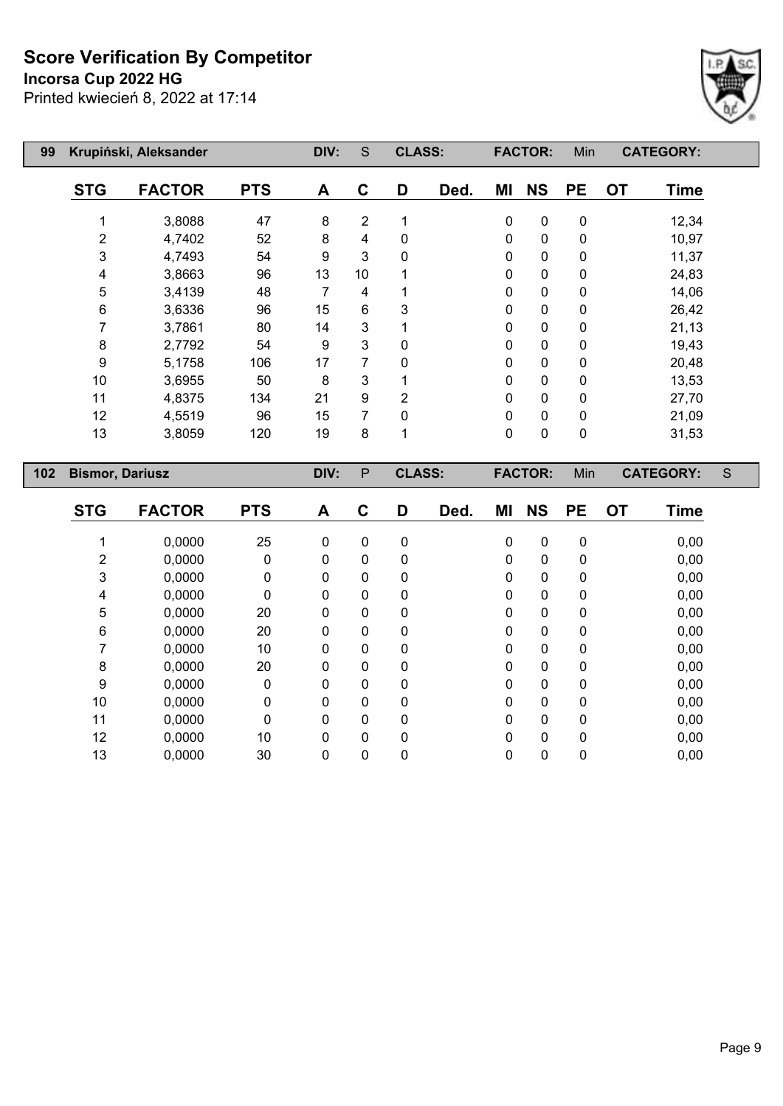**Incorsa Cup 2022 HG**

Printed kwiecień 8, 2022 at 17:14



| 99  | Krupiński, Aleksander  |               |            |                  |                | <b>CLASS:</b>  |      | <b>FACTOR:</b> |             | Min                     | <b>CATEGORY:</b> |             |               |
|-----|------------------------|---------------|------------|------------------|----------------|----------------|------|----------------|-------------|-------------------------|------------------|-------------|---------------|
|     | <b>STG</b>             | <b>FACTOR</b> | <b>PTS</b> | A                | $\mathbf C$    | D              | Ded. | MI             | <b>NS</b>   | <b>PE</b>               | <b>OT</b>        | <b>Time</b> |               |
|     | 1                      | 3,8088        | 47         | 8                | 2              | 1              |      | $\pmb{0}$      | $\pmb{0}$   | $\pmb{0}$               |                  | 12,34       |               |
|     | 2                      | 4,7402        | 52         | 8                | 4              | 0              |      | $\pmb{0}$      | 0           | $\pmb{0}$               |                  | 10,97       |               |
|     | 3                      | 4,7493        | 54         | $\boldsymbol{9}$ | 3              | 0              |      | $\pmb{0}$      | 0           | $\pmb{0}$               |                  | 11,37       |               |
|     | 4                      | 3,8663        | 96         | 13               | 10             | 1              |      | $\pmb{0}$      | $\pmb{0}$   | $\pmb{0}$               |                  | 24,83       |               |
|     | 5                      | 3,4139        | 48         | $\overline{7}$   | 4              | 1              |      | $\mathbf 0$    | 0           | $\pmb{0}$               |                  | 14,06       |               |
|     | 6                      | 3,6336        | 96         | 15               | 6              | 3              |      | 0              | $\pmb{0}$   | $\pmb{0}$               |                  | 26,42       |               |
|     | 7                      | 3,7861        | 80         | 14               | 3              | 1              |      | $\pmb{0}$      | 0           | 0                       |                  | 21,13       |               |
|     | 8                      | 2,7792        | 54         | $\boldsymbol{9}$ | 3              | 0              |      | $\pmb{0}$      | $\pmb{0}$   | 0                       |                  | 19,43       |               |
|     | 9                      | 5,1758        | 106        | 17               | $\overline{7}$ | 0              |      | $\pmb{0}$      | 0           | $\pmb{0}$               |                  | 20,48       |               |
|     | 10                     | 3,6955        | 50         | 8                | 3              | 1              |      | $\mathbf 0$    | $\pmb{0}$   | $\pmb{0}$               |                  | 13,53       |               |
|     | 11                     | 4,8375        | 134        | 21               | 9              | $\overline{2}$ |      | $\mathbf 0$    | 0           | $\pmb{0}$               |                  | 27,70       |               |
|     | 12                     | 4,5519        | 96         | 15               | 7              | 0              |      | 0              | $\pmb{0}$   | $\pmb{0}$               |                  | 21,09       |               |
|     | 13                     | 3,8059        | 120        | 19               | 8              | 1              |      | $\mathbf 0$    | $\pmb{0}$   | $\pmb{0}$               |                  | 31,53       |               |
| 102 | <b>Bismor, Dariusz</b> |               |            | DIV:             | ${\sf P}$      | <b>CLASS:</b>  |      | <b>FACTOR:</b> |             | Min<br><b>CATEGORY:</b> |                  |             | ${\mathsf S}$ |
|     | <b>STG</b>             | <b>FACTOR</b> | <b>PTS</b> | A                | $\mathbf c$    | D              | Ded. | MI             | <b>NS</b>   | <b>PE</b>               | <b>OT</b>        | <b>Time</b> |               |
|     |                        |               |            |                  |                |                |      |                |             |                         |                  |             |               |
|     | 1                      | 0,0000        | 25         | $\mathbf 0$      | $\mathbf 0$    | $\pmb{0}$      |      | $\pmb{0}$      | $\pmb{0}$   | $\pmb{0}$               |                  | 0,00        |               |
|     | 2                      | 0,0000        | 0          | 0                | 0              | 0              |      | 0              | $\pmb{0}$   | 0                       |                  | 0,00        |               |
|     | 3                      | 0,0000        | 0          | $\mathbf 0$      | $\Omega$       | 0              |      | $\mathbf 0$    | $\mathbf 0$ | 0                       |                  | 0,00        |               |
|     | 4                      | 0,0000        | 0          | $\mathbf 0$      | 0              | $\mathbf 0$    |      | $\pmb{0}$      | $\pmb{0}$   | $\pmb{0}$               |                  | 0,00        |               |
|     | 5                      | 0,0000        | 20         | $\mathbf 0$      | 0              | 0              |      | $\pmb{0}$      | $\pmb{0}$   | $\pmb{0}$               |                  | 0,00        |               |
|     | 6                      | 0,0000        | 20         | $\mathbf 0$      | $\Omega$       | 0              |      | $\pmb{0}$      | $\pmb{0}$   | $\pmb{0}$               |                  | 0,00        |               |
|     | 7                      | 0,0000        | 10         | $\mathbf{0}$     | 0              | 0              |      | $\mathbf 0$    | $\mathbf 0$ | $\pmb{0}$               |                  | 0,00        |               |
|     | 8                      | 0,0000        | 20         | $\mathbf 0$      | 0              | 0              |      | $\mathbf 0$    | 0           | 0                       |                  | 0,00        |               |

 0,0000 0 0 0 0 0 0 0 0,00 0,0000 0 0 0 0 0 0 0 0,00 0,0000 0 0 0 0 0 0 0 0,00 0,0000 10 0 0 0 0 0 0 0,00 0,0000 30 0 0 0 0 0 0 0,00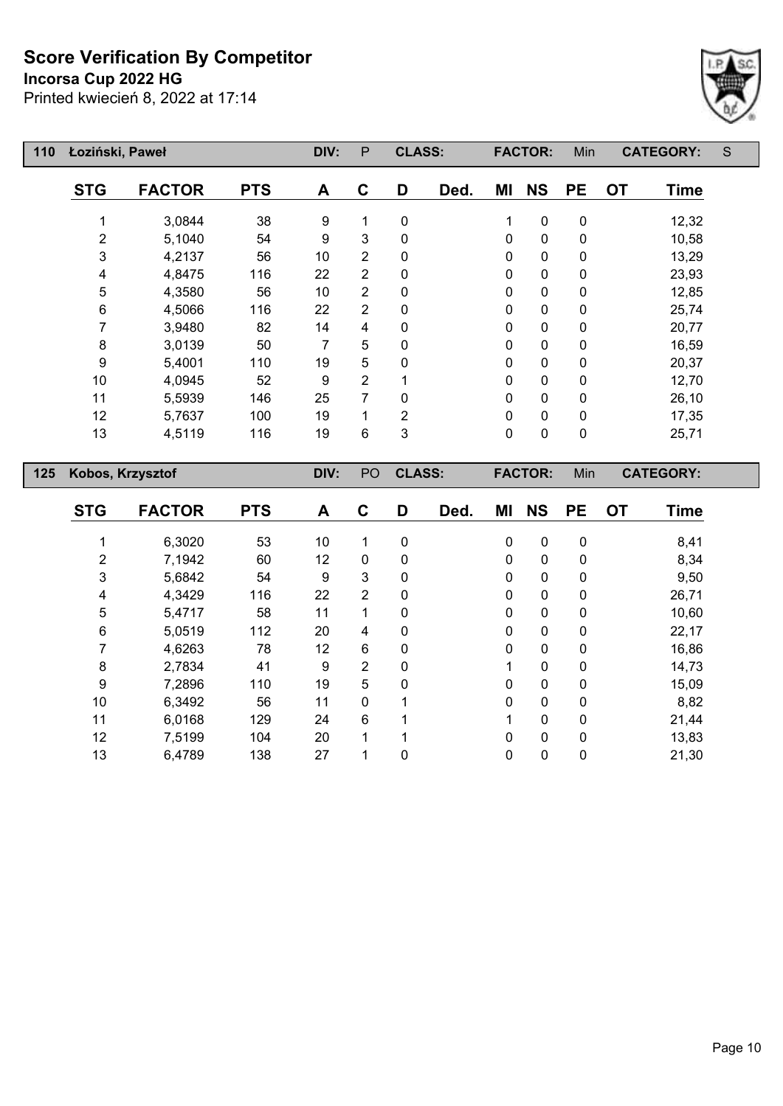**Incorsa Cup 2022 HG**

 $\mathsf{I}$ 



| 110 | Łoziński, Paweł  |               |            |      | P              | <b>CLASS:</b> |      | <b>FACTOR:</b> |                | Min       | <b>CATEGORY:</b> |                  | S |
|-----|------------------|---------------|------------|------|----------------|---------------|------|----------------|----------------|-----------|------------------|------------------|---|
|     | <b>STG</b>       | <b>FACTOR</b> | <b>PTS</b> | A    | C              | D             | Ded. | ΜI             | <b>NS</b>      | <b>PE</b> | <b>OT</b>        | <b>Time</b>      |   |
|     |                  | 3,0844        | 38         | 9    | 1              | $\mathbf 0$   |      | 1              | 0              | 0         |                  | 12,32            |   |
|     | $\overline{2}$   | 5,1040        | 54         | 9    | 3              | $\mathbf{0}$  |      | $\mathbf 0$    | $\pmb{0}$      | 0         |                  | 10,58            |   |
|     | 3                | 4,2137        | 56         | 10   | $\overline{2}$ | 0             |      | 0              | $\pmb{0}$      | 0         |                  | 13,29            |   |
|     | 4                | 4,8475        | 116        | 22   | $\overline{2}$ | $\mathbf{0}$  |      | $\mathbf 0$    | $\pmb{0}$      | 0         |                  | 23,93            |   |
|     | 5                | 4,3580        | 56         | 10   | 2              | $\mathbf{0}$  |      | $\mathbf 0$    | $\mathbf 0$    | 0         |                  | 12,85            |   |
|     | 6                | 4,5066        | 116        | 22   | 2              | $\mathbf{0}$  |      | 0              | $\mathbf 0$    | 0         |                  | 25,74            |   |
|     | 7                | 3,9480        | 82         | 14   | 4              | $\mathbf{0}$  |      | $\mathbf{0}$   | $\mathbf 0$    | 0         |                  | 20,77            |   |
|     | 8                | 3,0139        | 50         | 7    | 5              | $\mathbf{0}$  |      | $\mathbf{0}$   | 0              | 0         |                  | 16,59            |   |
|     | 9                | 5,4001        | 110        | 19   | 5              | $\mathbf{0}$  |      | 0              | 0              | 0         |                  | 20,37            |   |
|     | 10               | 4,0945        | 52         | 9    | 2              |               |      | 0              | 0              | 0         |                  | 12,70            |   |
|     | 11               | 5,5939        | 146        | 25   | 7              | $\mathbf{0}$  |      | $\mathbf 0$    | 0              | 0         |                  | 26,10            |   |
|     | 12               | 5,7637        | 100        | 19   | 1              | 2             |      | 0              | 0              | 0         |                  | 17,35            |   |
|     | 13               | 4,5119        | 116        | 19   | 6              | 3             |      | $\mathbf 0$    | 0              | 0         |                  | 25,71            |   |
| 125 | Kobos, Krzysztof |               |            | DIV: | PO             | <b>CLASS:</b> |      |                | <b>FACTOR:</b> | Min       |                  | <b>CATEGORY:</b> |   |

| <b>STG</b> | <b>FACTOR</b> | <b>PTS</b> | A  | C              | D        | Ded. | ΜI          | <b>NS</b>    | <b>PE</b>    | <b>OT</b> | <b>Time</b> |
|------------|---------------|------------|----|----------------|----------|------|-------------|--------------|--------------|-----------|-------------|
|            | 6,3020        | 53         | 10 | 1              | 0        |      | $\mathbf 0$ | $\mathbf 0$  | $\mathbf 0$  |           | 8,41        |
| 2          | 7,1942        | 60         | 12 | $\mathbf{0}$   | $\Omega$ |      | $\mathbf 0$ | $\mathbf{0}$ | $\mathbf{0}$ |           | 8,34        |
| 3          | 5,6842        | 54         | 9  | 3              | 0        |      | 0           | $\mathbf 0$  | 0            |           | 9,50        |
| 4          | 4,3429        | 116        | 22 | $\overline{2}$ | $\Omega$ |      | $\Omega$    | 0            | $\mathbf{0}$ |           | 26,71       |
| 5          | 5,4717        | 58         | 11 | 4              | $\Omega$ |      | $\Omega$    | 0            | $\mathbf{0}$ |           | 10,60       |
| 6          | 5,0519        | 112        | 20 | 4              | 0        |      | 0           | 0            | 0            |           | 22,17       |
| 7          | 4,6263        | 78         | 12 | 6              | 0        |      | 0           | 0            | $\mathbf{0}$ |           | 16,86       |
| 8          | 2,7834        | 41         | 9  | $\overline{2}$ | 0        |      |             | 0            | 0            |           | 14,73       |
| 9          | 7,2896        | 110        | 19 | 5              | 0        |      | 0           | $\mathbf 0$  | 0            |           | 15,09       |
| 10         | 6,3492        | 56         | 11 | $\mathbf 0$    | 4        |      | 0           | $\mathbf 0$  | $\Omega$     |           | 8,82        |
| 11         | 6,0168        | 129        | 24 | 6              |          |      | 1           | $\mathbf 0$  | 0            |           | 21,44       |
| 12         | 7,5199        | 104        | 20 | 1              |          |      | 0           | $\mathbf 0$  | $\mathbf{0}$ |           | 13,83       |
| 13         | 6,4789        | 138        | 27 |                | 0        |      | 0           | $\pmb{0}$    | $\mathbf 0$  |           | 21,30       |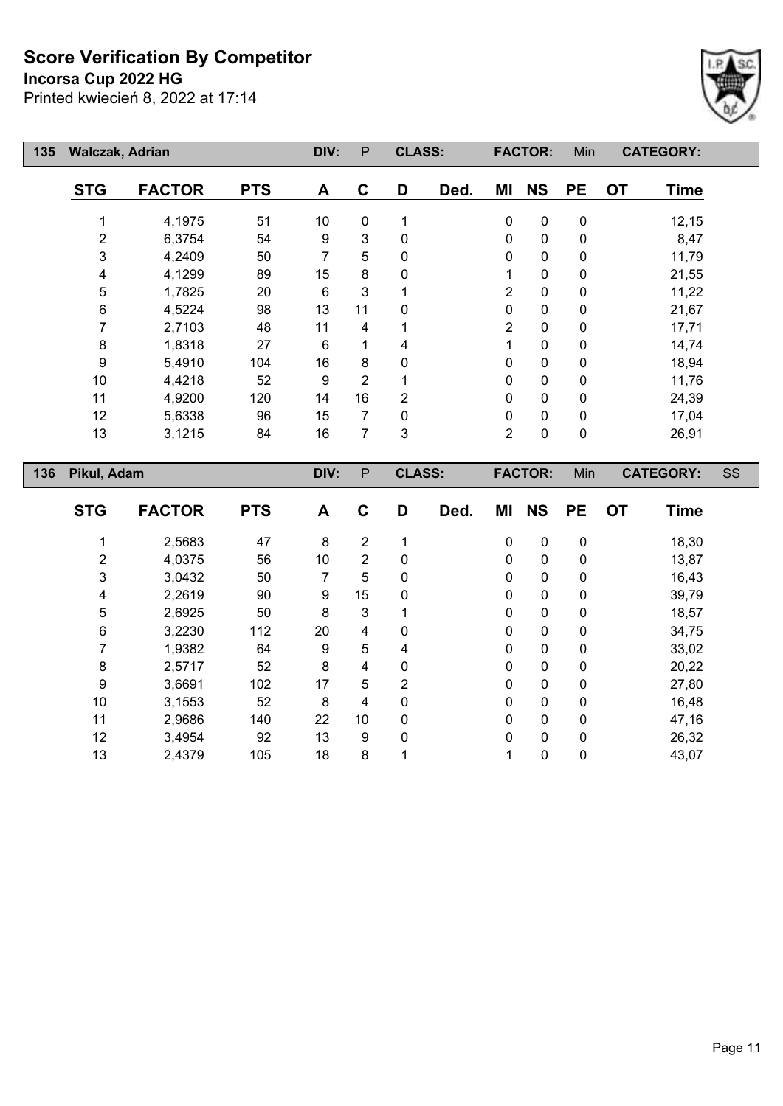**Incorsa Cup 2022 HG**

Printed kwiecień 8, 2022 at 17:14



| 135 | <b>Walczak, Adrian</b> |               |            | DIV:         | P              | <b>CLASS:</b> |                | <b>FACTOR:</b> |             | Min              | <b>CATEGORY:</b>         |  |
|-----|------------------------|---------------|------------|--------------|----------------|---------------|----------------|----------------|-------------|------------------|--------------------------|--|
|     | <b>STG</b>             | <b>FACTOR</b> | <b>PTS</b> | A            | C              | D             | Ded.           | ΜI             | <b>NS</b>   | <b>PE</b>        | <b>OT</b><br><b>Time</b> |  |
|     |                        | 4,1975        | 51         | 10           | 0              |               |                | 0              | 0           | 0                | 12,15                    |  |
|     | 2                      | 6,3754        | 54         | 9            | 3              | 0             |                | $\mathbf 0$    | 0           | 0                | 8,47                     |  |
|     | 3                      | 4,2409        | 50         | 7            | 5              | 0             |                | $\mathbf 0$    | 0           | $\mathbf 0$      | 11,79                    |  |
|     | 4                      | 4,1299        | 89         | 15           | 8              | 0             |                | 1              | $\pmb{0}$   | 0                | 21,55                    |  |
|     | 5                      | 1,7825        | 20         | 6            | 3              |               |                | $\overline{2}$ | 0           | 0                | 11,22                    |  |
|     | 6                      | 4,5224        | 98         | 13           | 11             | $\Omega$      |                | $\pmb{0}$      | 0           | 0                | 21,67                    |  |
|     | 7                      | 2,7103        | 48         | 11           | 4              |               |                | $\overline{2}$ | 0           | 0                | 17,71                    |  |
|     | 8                      | 1,8318        | 27         | 6            | 1              | 4             |                | 1              | $\mathbf 0$ | 0                | 14,74                    |  |
|     | 9                      | 5,4910        | 104        | 16           | 8              | 0             |                | $\pmb{0}$      | $\pmb{0}$   | 0                | 18,94                    |  |
|     | 10                     | 4,4218        | 52         | 9            | $\overline{2}$ |               |                | $\pmb{0}$      | 0           | 0                | 11,76                    |  |
|     | 11                     | 4,9200        | 120        | 14           | 16             | 2             |                | 0              | $\mathbf 0$ | 0                | 24,39                    |  |
|     | 12                     | 5,6338        | 96         | 15           | $\overline{7}$ | 0             |                | $\pmb{0}$      | $\pmb{0}$   | 0                | 17,04                    |  |
|     | 13                     | 3,1215        | 84         | 16           | 7              | 3             |                | $\overline{2}$ | $\pmb{0}$   | $\pmb{0}$        | 26,91                    |  |
| 136 | Pikul, Adam            |               | DIV:       | $\mathsf{P}$ | <b>CLASS:</b>  |               | <b>FACTOR:</b> |                | Min         | <b>CATEGORY:</b> | SS                       |  |
|     | <b>STG</b>             | <b>FACTOR</b> | <b>PTS</b> | A            | C              | D             | Ded.           | ΜI             | <b>NS</b>   | <b>PE</b>        | <b>OT</b><br>Time        |  |
|     |                        | 2,5683        | 47         | 8            | $\overline{2}$ |               |                | $\pmb{0}$      | $\mathbf 0$ | $\pmb{0}$        | 18,30                    |  |

 4,0375 56 10 2 0 0 0 0 13,87 3,0432 50 7 5 0 0 0 0 16,43 2,2619 90 9 15 0 0 0 0 39,79 2,6925 50 8 3 1 0 0 0 18,57 3,2230 112 20 4 0 0 0 0 34,75 1,9382 64 9 5 4 0 0 0 33,02 2,5717 52 8 4 0 0 0 0 20,22 3,6691 102 17 5 2 0 0 0 27,80 3,1553 52 8 4 0 0 0 0 16,48 2,9686 140 22 10 0 0 0 0 47,16 3,4954 92 13 9 0 0 0 0 26,32 2,4379 105 18 8 1 1 0 0 43,07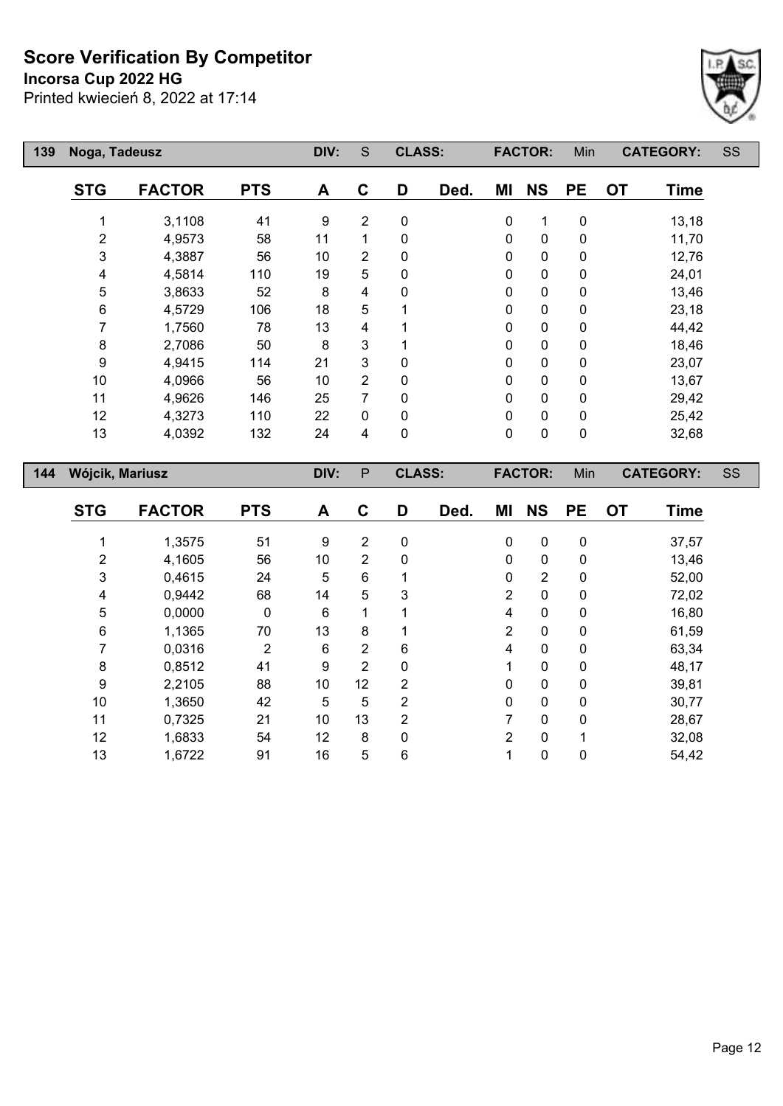**Incorsa Cup 2022 HG**

Printed kwiecień 8, 2022 at 17:14



| 139 | Noga, Tadeusz             |               | DIV:       | S                | <b>CLASS:</b>  |             |                | <b>FACTOR:</b> |                | <b>CATEGORY:</b> |    | <b>SS</b>   |  |
|-----|---------------------------|---------------|------------|------------------|----------------|-------------|----------------|----------------|----------------|------------------|----|-------------|--|
|     | <b>STG</b>                | <b>FACTOR</b> | <b>PTS</b> | A                | $\mathbf C$    | D           | Ded.           | ΜI             | <b>NS</b>      | <b>PE</b>        | OT | <b>Time</b> |  |
|     | 1                         | 3,1108        | 41         | $\boldsymbol{9}$ | $\overline{2}$ | $\pmb{0}$   |                | $\pmb{0}$      | 1              | 0                |    | 13,18       |  |
|     | $\mathbf{2}$              | 4,9573        | 58         | 11               | 1              | $\pmb{0}$   |                | 0              | $\pmb{0}$      | 0                |    | 11,70       |  |
|     | 3                         | 4,3887        | 56         | 10               | 2              | $\pmb{0}$   |                | $\pmb{0}$      | $\pmb{0}$      | 0                |    | 12,76       |  |
|     | 4                         | 4,5814        | 110        | 19               | 5              | $\mathbf 0$ |                | 0              | $\mathbf 0$    | 0                |    | 24,01       |  |
|     | 5                         | 3,8633        | 52         | 8                | 4              | 0           |                | 0              | 0              | 0                |    | 13,46       |  |
|     | 6                         | 4,5729        | 106        | 18               | 5              |             |                | $\pmb{0}$      | $\pmb{0}$      | 0                |    | 23,18       |  |
|     | 7                         | 1,7560        | 78         | 13               | 4              |             |                | 0              | 0              | 0                |    | 44,42       |  |
|     | $\bf 8$                   | 2,7086        | 50         | 8                | 3              |             |                | 0              | 0              | 0                |    | 18,46       |  |
|     | 9                         | 4,9415        | 114        | 21               | 3              | $\mathbf 0$ |                | $\pmb{0}$      | $\pmb{0}$      | 0                |    | 23,07       |  |
|     | $10$                      | 4,0966        | 56         | 10               | 2              | $\pmb{0}$   |                | $\pmb{0}$      | 0              | 0                |    | 13,67       |  |
|     | 11                        | 4,9626        | 146        | 25               | $\overline{7}$ | 0           |                | 0              | 0              | 0                |    | 29,42       |  |
|     | 12                        | 4,3273        | 110        | 22               | 0              | $\pmb{0}$   |                | 0              | $\pmb{0}$      | 0                |    | 25,42       |  |
|     | 13                        | 4,0392        | 132        | 24               | 4              | $\pmb{0}$   |                | $\pmb{0}$      | 0              | 0                |    | 32,68       |  |
| 144 | Wójcik, Mariusz           |               | DIV:       | P                | <b>CLASS:</b>  |             | <b>FACTOR:</b> |                | Min            | <b>CATEGORY:</b> |    | SS          |  |
|     | <b>STG</b>                | <b>FACTOR</b> | <b>PTS</b> | A                | $\mathbf c$    | D           | Ded.           | ΜI             | <b>NS</b>      | <b>PE</b>        | OT | <b>Time</b> |  |
|     | 1                         | 1,3575        | 51         | $\boldsymbol{9}$ | $\overline{2}$ | $\pmb{0}$   |                | 0              | $\pmb{0}$      | $\pmb{0}$        |    | 37,57       |  |
|     | $\overline{c}$            | 4,1605        | 56         | 10               | 2              | 0           |                | 0              | $\pmb{0}$      | 0                |    | 13,46       |  |
|     | $\ensuremath{\mathsf{3}}$ | 0,4615        | 24         | 5                | 6              | 1           |                | $\pmb{0}$      | $\overline{2}$ | 0                |    | 52,00       |  |
|     | 4                         | 0,9442        | 68         | 14               | 5              | 3           |                | $\overline{c}$ | 0              | 0                |    | 72,02       |  |
|     | 5                         | 0,0000        | 0          | 6                | 1              |             |                | 4              | 0              | 0                |    | 16,80       |  |
|     | 6                         | 1,1365        | 70         | 13               | 8              | 1           |                | $\overline{2}$ | 0              | 0                |    | 61,59       |  |

 0,0316 2 6 2 6 4 0 0 63,34 0,8512 41 9 2 0 1 0 0 48,17 2,2105 88 10 12 2 0 0 0 39,81 1,3650 42 5 5 2 0 0 0 30,77 0,7325 21 10 13 2 7 0 0 28,67 1,6833 54 12 8 0 2 0 1 32,08 1,6722 91 16 5 6 1 0 0 54,42